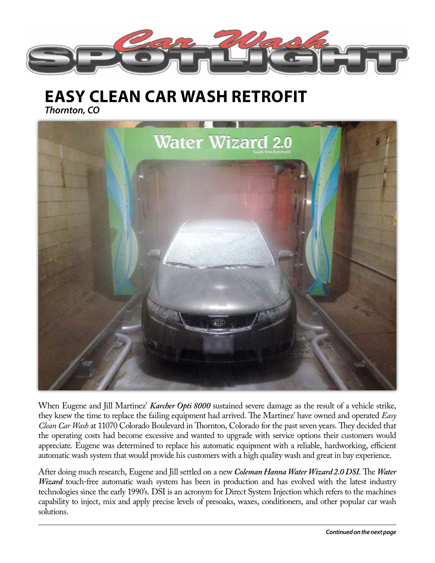

**EASY CLEAN CAR WASH RETROFIT**

*Thornton, CO* 



When Eugene and Jill Martinez' *Karcher Opti 8000* sustained severe damage as the result of a vehicle strike, they knew the time to replace the failing equipment had arrived. The Martinez' have owned and operated *Easy Clean Car Wash* at 11070 Colorado Boulevard in Thornton, Colorado for the past seven years. They decided that the operating costs had become excessive and wanted to upgrade with service options their customers would appreciate. Eugene was determined to replace his automatic equipment with a reliable, hardworking, efficient automatic wash system that would provide his customers with a high quality wash and great in bay experience.

After doing much research, Eugene and Jill settled on a new *Coleman Hanna Water Wizard 2.0 DSI*. The *Water Wizard* touch-free automatic wash system has been in production and has evolved with the latest industry technologies since the early 1990's. DSI is an acronym for Direct System Injection which refers to the machines capability to inject, mix and apply precise levels of presoaks, waxes, conditioners, and other popular car wash solutions.